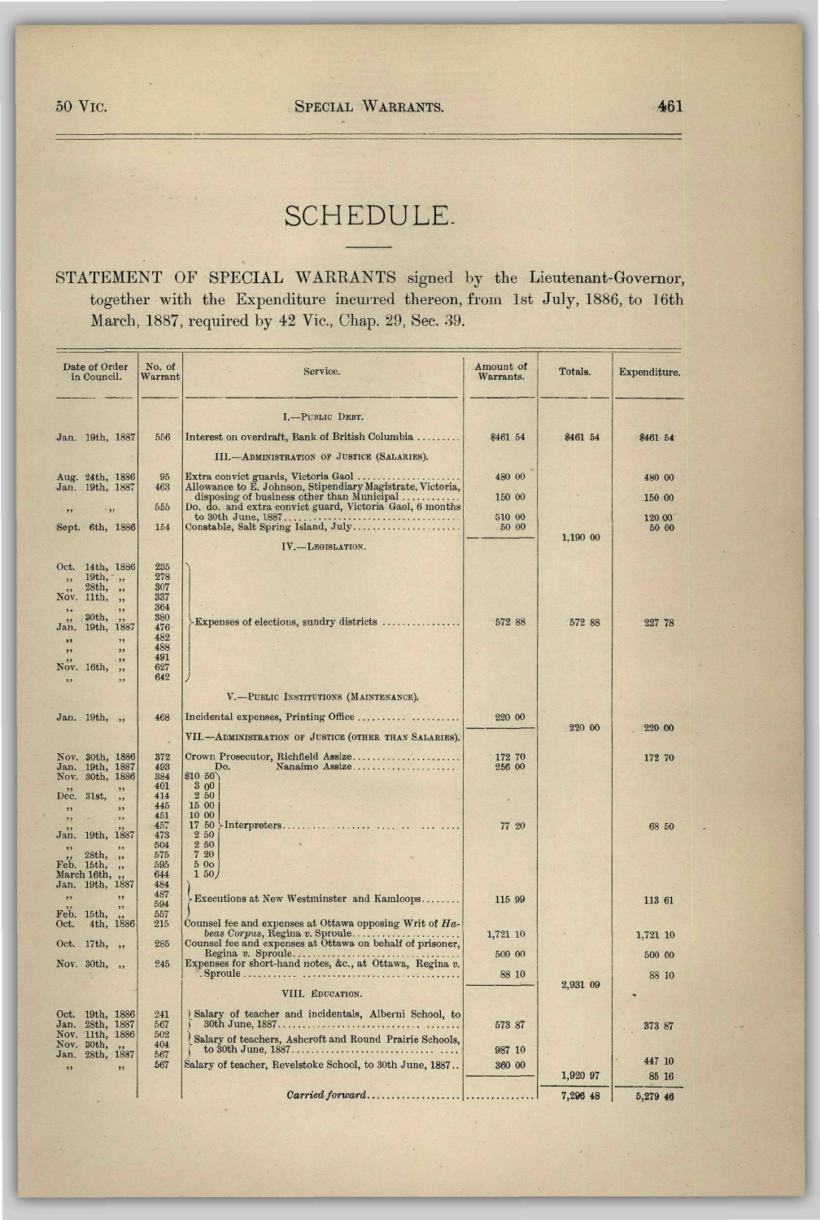## SCHEDULE-

## STATEMENT OF SPECIAL WARRANTS signed by the Lieutenant-Governor, together with the Expenditure incurred thereon, from 1st July, 1886, to 16th March, 1887, required by 42 Vic, Chap. 29, Sec. 39.

| Date of Order<br>in Council.                                                                                                                                            | No. of<br>Warrant                                                                | Service.                                                                                                           | Amount of<br>Warrants. | Totals.  | Expenditure. |
|-------------------------------------------------------------------------------------------------------------------------------------------------------------------------|----------------------------------------------------------------------------------|--------------------------------------------------------------------------------------------------------------------|------------------------|----------|--------------|
|                                                                                                                                                                         |                                                                                  | I.-PUBLIC DEBT.                                                                                                    |                        |          |              |
| Jan. 19th, 1887                                                                                                                                                         | 556                                                                              | Interest on overdraft, Bank of British Columbia                                                                    | \$461 54               | \$461 54 | \$461 54     |
|                                                                                                                                                                         |                                                                                  | III.-ADMINISTRATION OF JUSTICE (SALARIES).                                                                         |                        |          |              |
| Aug. 24th, 1886                                                                                                                                                         | 95                                                                               | Extra convict guards, Victoria Gaol                                                                                | 480 00                 |          | 480 00       |
| Jan. 19th, 1887                                                                                                                                                         | 463                                                                              | Allowance to E. Johnson, Stipendiary Magistrate, Victoria,<br>disposing of business other than Municipal           | 150 00                 |          | 150 00       |
| $\rightarrow$<br>, ,                                                                                                                                                    | 555                                                                              | Do. do. and extra convict guard, Victoria Gaol, 6 months                                                           | 510 00                 |          | 120 00       |
| Sept. 6th, 1886                                                                                                                                                         | 154                                                                              | Constable, Salt Spring Island, July                                                                                | 50 00                  | 1,190 00 | 50 00        |
|                                                                                                                                                                         |                                                                                  | IV.-LEGISLATION.                                                                                                   |                        |          |              |
| Oct.<br>14th, 1886<br>$19th, ,$ ,<br>28th,<br>,<br>Nov.<br>11th,<br>,<br>,,<br>30th,<br>19th, 1887<br>Jan.<br>,<br>,,<br>,,<br>,,<br>,,<br>Nov. 16th,<br>, ,<br>,<br>,, | 235<br>278<br>307<br>337<br>364<br>380<br>476<br>482<br>488<br>491<br>627<br>642 | Expenses of elections, sundry districts                                                                            | 572 88                 | 572 88   | 227 78       |
|                                                                                                                                                                         |                                                                                  | V.-PUBLIC INSTITUTIONS (MAINTENANCE).                                                                              |                        |          |              |
| Jan. 19th, ,,                                                                                                                                                           | 468                                                                              | Incidental expenses, Printing Office                                                                               | 220 00                 | 220 00   | 220 00       |
|                                                                                                                                                                         |                                                                                  | VII.-ADMINISTRATION OF JUSTICE (OTHER THAN SALARIES).                                                              |                        |          |              |
| Nov. 30th, 1886<br>Jan. 19th, 1887<br>Nov. 30th, 1886<br>,                                                                                                              | 372<br>493<br>384<br>401                                                         | Crown Prosecutor, Richfield Assize<br>Nanaimo Assize<br>Do.<br>\$10 50<br>300                                      | 172 70<br>256 00       |          | 172 70       |
| Dec. 31st,<br>,,<br>,,<br>,                                                                                                                                             | 414<br>445                                                                       | 250<br>15 00                                                                                                       |                        |          |              |
| $\overline{\phantom{a}}$<br>,,<br>Jan. 19th, 1887<br>, ,<br>, ,<br>28th,<br>, ,<br>Feb. 15th,<br>, ,<br>March 16th,                                                     | 451<br>457<br>473<br>504<br>575<br>595<br>644                                    | 10 00<br>17 50<br>2 50<br>2 50<br>7 20<br>500<br>1 50                                                              | 77 20                  |          | 68 50        |
| Jan. 19th, 1887<br>,<br>,<br>Feb. 15th,                                                                                                                                 | 484<br>487<br>594<br>557                                                         | Executions at New Westminster and Kamloops                                                                         | 115 99                 |          | 113 61       |
| 4th, 1886<br>Oct.                                                                                                                                                       | 215                                                                              | Counsel fee and expenses at Ottawa opposing Writ of Ha-<br>beas Corpus, Regina v. Sproule                          | 1,721 10               |          | 1,721 10     |
| Oct. 17th,<br>$\rightarrow$                                                                                                                                             | 285                                                                              | Counsel fee and expenses at Ottawa on behalf of prisoner,                                                          | 500 00                 |          | 500 00       |
| Nov. 30th,<br>$\overline{\phantom{a}}$                                                                                                                                  | 245                                                                              | Expenses for short-hand notes, &c., at Ottawa, Regina v.                                                           | 88 10                  |          | 88 10        |
|                                                                                                                                                                         |                                                                                  | VIII. EDUCATION.                                                                                                   |                        | 2,931 09 |              |
| Oct. 19th, 1886<br>Jan. 28th, 1887<br>Nov. 11th, 1886<br>Nov. 30th,                                                                                                     | 241<br>567<br>502<br>404                                                         | ) Salary of teacher and incidentals, Alberni School, to<br>Salary of teachers, Ashcroft and Round Prairie Schools. | 573 87                 |          | 373 87       |
| Jan. 28th, 1887                                                                                                                                                         | 567<br>567                                                                       | Salary of teacher, Revelstoke School, to 30th June, 1887                                                           | 987 10<br>360 00       |          | 447 10       |
| ,                                                                                                                                                                       |                                                                                  |                                                                                                                    |                        | 1,920 97 | 85 16        |
|                                                                                                                                                                         |                                                                                  |                                                                                                                    |                        | 7,296 48 | 5,279 46     |